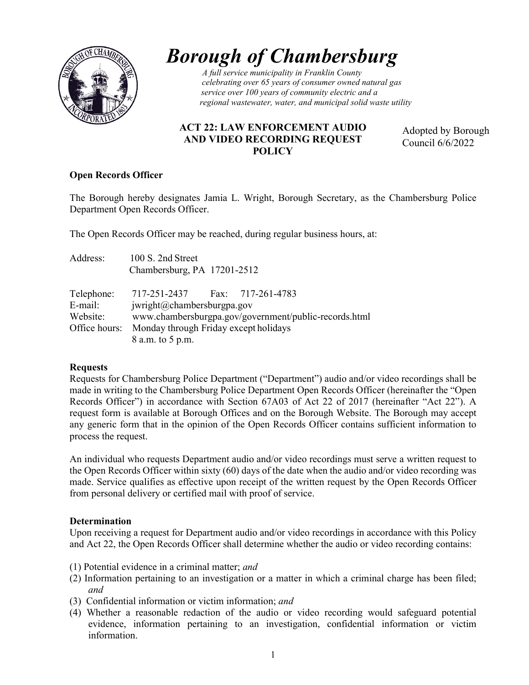

# *Borough of Chambersburg*

*DUITERTITY CRUITIVERSITY celebrating over 65 years of consumer owned natural gas service over 100 years of community electric and a regional wastewater, water, and municipal solid waste utility*

# **ACT 22: LAW ENFORCEMENT AUDIO AND VIDEO RECORDING REQUEST POLICY**

Adopted by Borough Council 6/6/2022

#### **Open Records Officer**

The Borough hereby designates Jamia L. Wright, Borough Secretary, as the Chambersburg Police Department Open Records Officer.

The Open Records Officer may be reached, during regular business hours, at:

| Address:   | 100 S. 2nd Street                                     |  |  |  |  |
|------------|-------------------------------------------------------|--|--|--|--|
|            | Chambersburg, PA 17201-2512                           |  |  |  |  |
| Telephone: | 717-251-2437 Fax: 717-261-4783                        |  |  |  |  |
| E-mail:    | iwright@chambersburgpa.gov                            |  |  |  |  |
| Website:   | www.chambersburgpa.gov/government/public-records.html |  |  |  |  |
|            | Office hours: Monday through Friday except holidays   |  |  |  |  |
|            | 8 a.m. to 5 p.m.                                      |  |  |  |  |

# **Requests**

Requests for Chambersburg Police Department ("Department") audio and/or video recordings shall be made in writing to the Chambersburg Police Department Open Records Officer (hereinafter the "Open Records Officer") in accordance with Section 67A03 of Act 22 of 2017 (hereinafter "Act 22"). A request form is available at Borough Offices and on the Borough Website. The Borough may accept any generic form that in the opinion of the Open Records Officer contains sufficient information to process the request.

An individual who requests Department audio and/or video recordings must serve a written request to the Open Records Officer within sixty (60) days of the date when the audio and/or video recording was made. Service qualifies as effective upon receipt of the written request by the Open Records Officer from personal delivery or certified mail with proof of service.

# **Determination**

Upon receiving a request for Department audio and/or video recordings in accordance with this Policy and Act 22, the Open Records Officer shall determine whether the audio or video recording contains:

- (1) Potential evidence in a criminal matter; *and*
- (2) Information pertaining to an investigation or a matter in which a criminal charge has been filed; *and*
- (3) Confidential information or victim information; *and*
- (4) Whether a reasonable redaction of the audio or video recording would safeguard potential evidence, information pertaining to an investigation, confidential information or victim information.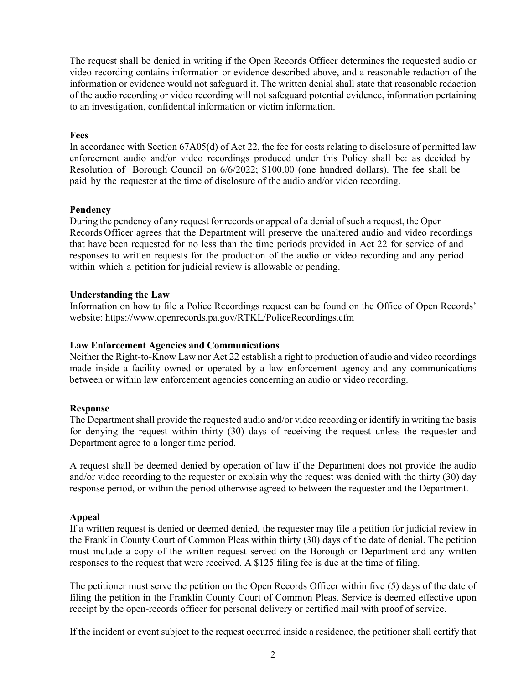The request shall be denied in writing if the Open Records Officer determines the requested audio or video recording contains information or evidence described above, and a reasonable redaction of the information or evidence would not safeguard it. The written denial shall state that reasonable redaction of the audio recording or video recording will not safeguard potential evidence, information pertaining to an investigation, confidential information or victim information.

#### **Fees**

In accordance with Section 67A05(d) of Act 22, the fee for costs relating to disclosure of permitted law enforcement audio and/or video recordings produced under this Policy shall be: as decided by Resolution of Borough Council on 6/6/2022; \$100.00 (one hundred dollars). The fee shall be paid by the requester at the time of disclosure of the audio and/or video recording.

# **Pendency**

During the pendency of any request for records or appeal of a denial of such a request, the Open Records Officer agrees that the Department will preserve the unaltered audio and video recordings that have been requested for no less than the time periods provided in Act 22 for service of and responses to written requests for the production of the audio or video recording and any period within which a petition for judicial review is allowable or pending.

#### **Understanding the Law**

Information on how to file a Police Recordings request can be found on the Office of Open Records' website:<https://www.openrecords.pa.gov/RTKL/PoliceRecordings.cfm>

#### **Law Enforcement Agencies and Communications**

Neither the Right-to-Know Law nor Act 22 establish a right to production of audio and video recordings made inside a facility owned or operated by a law enforcement agency and any communications between or within law enforcement agencies concerning an audio or video recording.

#### **Response**

The Department shall provide the requested audio and/or video recording or identify in writing the basis for denying the request within thirty (30) days of receiving the request unless the requester and Department agree to a longer time period.

A request shall be deemed denied by operation of law if the Department does not provide the audio and/or video recording to the requester or explain why the request was denied with the thirty (30) day response period, or within the period otherwise agreed to between the requester and the Department.

# **Appeal**

If a written request is denied or deemed denied, the requester may file a petition for judicial review in the Franklin County Court of Common Pleas within thirty (30) days of the date of denial. The petition must include a copy of the written request served on the Borough or Department and any written responses to the request that were received. A \$125 filing fee is due at the time of filing.

The petitioner must serve the petition on the Open Records Officer within five (5) days of the date of filing the petition in the Franklin County Court of Common Pleas. Service is deemed effective upon receipt by the open-records officer for personal delivery or certified mail with proof of service.

If the incident or event subject to the request occurred inside a residence, the petitioner shall certify that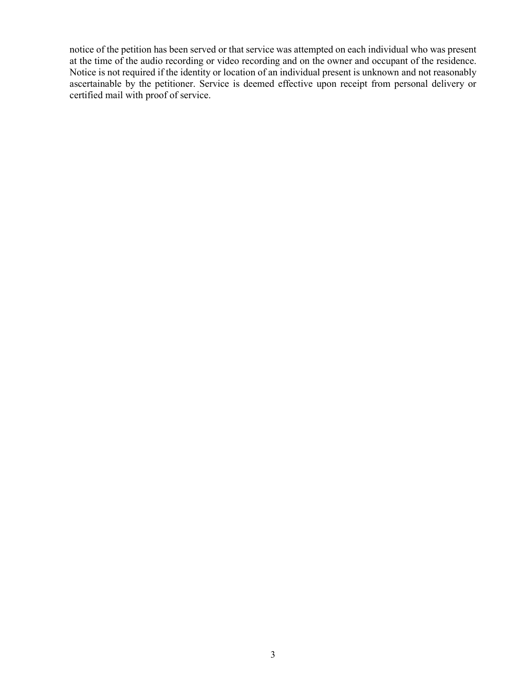notice of the petition has been served or that service was attempted on each individual who was present at the time of the audio recording or video recording and on the owner and occupant of the residence. Notice is not required if the identity or location of an individual present is unknown and not reasonably ascertainable by the petitioner. Service is deemed effective upon receipt from personal delivery or certified mail with proof of service.